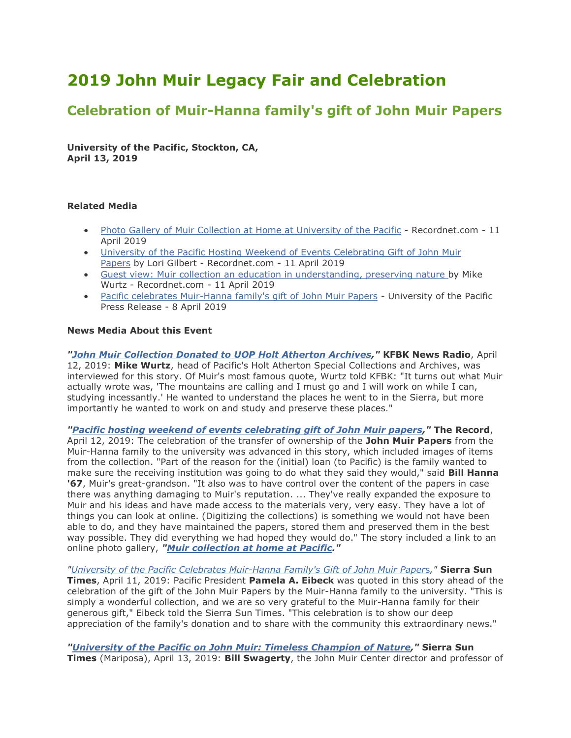## **2019 John Muir Legacy Fair and Celebration**

## **Celebration of Muir-Hanna family's gift of John Muir Papers**

**University of the Pacific, Stockton, CA, April 13, 2019**

## **Related Media**

- [Photo Gallery of Muir Collection at Home at University of the Pacific](https://www.recordnet.com/photogallery/SR/20190411/PHOTOGALLERY/411009996/PH/1?fbclid=IwAR1VIE7bxBPXCIQuQqh_K1p16F8yoluJPcpN9HmcVprUuqc8QGW58YqkHKE) Recordnet.com 11 April 2019
- [University of the Pacific Hosting Weekend of Events Celebrating Gift of John Muir](https://www.recordnet.com/entertainmentlife/20190411/pacific-hosting-weekend-of-events-celebrating-gift-of-john-muir-papers)  [Papers](https://www.recordnet.com/entertainmentlife/20190411/pacific-hosting-weekend-of-events-celebrating-gift-of-john-muir-papers) by Lori Gilbert - Recordnet.com - 11 April 2019
- [Guest view: Muir collection an education in understanding, preserving nature](https://www.recordnet.com/opinion/20190411/guest-view-muir-collection-education-in-understanding-preserving-nature) by Mike Wurtz - Recordnet.com - 11 April 2019
- [Pacific celebrates Muir-Hanna family's gift of John Muir Papers](https://www.pacific.edu/about-pacific/newsroom/2019/april-2019/pacific-celebrates-muir-hanna-family%C3%A2%E2%82%AC%E2%84%A2s-gift-of-john-muir-papers-.html) University of the Pacific Press Release - 8 April 2019

## **News Media About this Event**

*["John Muir Collection Donated to UOP Holt Atherton Archives,](https://kfbk.iheart.com/featured/cristina-mendonsa/content/2019-04-11-john-muir-collection-donated-to-uop-holt-atherton-archives/)"* **KFBK News Radio**, April 12, 2019: **Mike Wurtz**, head of Pacific's Holt Atherton Special Collections and Archives, was interviewed for this story. Of Muir's most famous quote, Wurtz told KFBK: "It turns out what Muir actually wrote was, 'The mountains are calling and I must go and I will work on while I can, studying incessantly.' He wanted to understand the places he went to in the Sierra, but more importantly he wanted to work on and study and preserve these places."

*["Pacific hosting weekend of events celebrating gift of John Muir papers,](https://www.recordnet.com/entertainmentlife/20190411/pacific-hosting-weekend-of-events-celebrating-gift-of-john-muir-papers?rssfeed=true)"* **The Record**, April 12, 2019: The celebration of the transfer of ownership of the **John Muir Papers** from the Muir-Hanna family to the university was advanced in this story, which included images of items from the collection. "Part of the reason for the (initial) loan (to Pacific) is the family wanted to make sure the receiving institution was going to do what they said they would," said **Bill Hanna '67**, Muir's great-grandson. "It also was to have control over the content of the papers in case there was anything damaging to Muir's reputation. ... They've really expanded the exposure to Muir and his ideas and have made access to the materials very, very easy. They have a lot of things you can look at online. (Digitizing the collections) is something we would not have been able to do, and they have maintained the papers, stored them and preserved them in the best way possible. They did everything we had hoped they would do." The story included a link to an online photo gallery, *["Muir collection at home at](https://www.recordnet.com/photogallery/SR/20190411/PHOTOGALLERY/411009996/PH/1) Pacific."*

*["University of the Pacific Celebrates Muir-Hanna Family's Gift of John Muir Paper](https://bit.ly/2VLEpgx)*[s](https://bit.ly/2VLEpgx)*,"* **Sierra Sun Times**, April 11, 2019: Pacific President **Pamela A. Eibeck** was quoted in this story ahead of the celebration of the gift of the John Muir Papers by the Muir-Hanna family to the university. "This is simply a wonderful collection, and we are so very grateful to the Muir-Hanna family for their generous gift," Eibeck told the Sierra Sun Times. "This celebration is to show our deep appreciation of the family's donation and to share with the community this extraordinary news."

*"University of the Pacific [on John Muir: Timeless Champion of Nature,](https://bit.ly/2v2zUCy)"* **Sierra Sun Times** (Mariposa), April 13, 2019: **Bill Swagerty**, the John Muir Center director and professor of